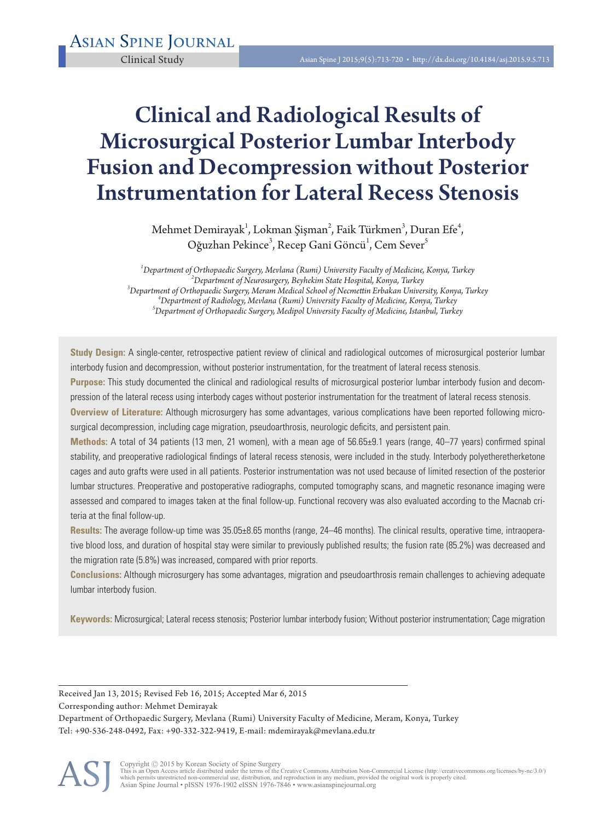# Clinical and Radiological Results of Microsurgical Posterior Lumbar Interbody Fusion and Decompression without Posterior Instrumentation for Lateral Recess Stenosis

Mehmet Demirayak $^1$ , Lokman Şişman $^2$ , Faik Türkmen $^3$ , Duran Efe $^4$ , Oğuzhan Pekince<sup>3</sup>, Recep Gani Göncü<sup>1</sup>, Cem Sever<sup>5</sup>

*1 Department of Orthopaedic Surgery, Mevlana (Rumi) University Faculty of Medicine, Konya, Turkey <sup>2</sup> Department of Neurosurgery, Beyhekim State Hospital, Konya, Turkey 3 Department of Orthopaedic Surgery, Meram Medical School of Necmettin Erbakan University, Konya, Turkey <sup>4</sup>* <sup>4</sup>Department of Radiology, Mevlana (Rumi) University Faculty of Medicine, Konya, Turkey *Department of Orthopaedic Surgery, Medipol University Faculty of Medicine, Istanbul, Turkey* 

**Study Design:** A single-center, retrospective patient review of clinical and radiological outcomes of microsurgical posterior lumbar interbody fusion and decompression, without posterior instrumentation, for the treatment of lateral recess stenosis.

**Purpose:** This study documented the clinical and radiological results of microsurgical posterior lumbar interbody fusion and decompression of the lateral recess using interbody cages without posterior instrumentation for the treatment of lateral recess stenosis.

**Overview of Literature:** Although microsurgery has some advantages, various complications have been reported following microsurgical decompression, including cage migration, pseudoarthrosis, neurologic deficits, and persistent pain.

**Methods:** A total of 34 patients (13 men, 21 women), with a mean age of 56.65±9.1 years (range, 40–77 years) confirmed spinal stability, and preoperative radiological findings of lateral recess stenosis, were included in the study. Interbody polyetheretherketone cages and auto grafts were used in all patients. Posterior instrumentation was not used because of limited resection of the posterior lumbar structures. Preoperative and postoperative radiographs, computed tomography scans, and magnetic resonance imaging were assessed and compared to images taken at the final follow-up. Functional recovery was also evaluated according to the Macnab criteria at the final follow-up.

**Results:** The average follow-up time was 35.05±8.65 months (range, 24–46 months). The clinical results, operative time, intraoperative blood loss, and duration of hospital stay were similar to previously published results; the fusion rate (85.2%) was decreased and the migration rate (5.8%) was increased, compared with prior reports.

**Conclusions:** Although microsurgery has some advantages, migration and pseudoarthrosis remain challenges to achieving adequate lumbar interbody fusion.

**Keywords:** Microsurgical; Lateral recess stenosis; Posterior lumbar interbody fusion; Without posterior instrumentation; Cage migration

Received Jan 13, 2015; Revised Feb 16, 2015; Accepted Mar 6, 2015

Corresponding author: Mehmet Demirayak

Department of Orthopaedic Surgery, Mevlana (Rumi) University Faculty of Medicine, Meram, Konya, Turkey Tel: +90-536-248-0492, Fax: +90-332-322-9419, E-mail: mdemirayak@mevlana.edu.tr

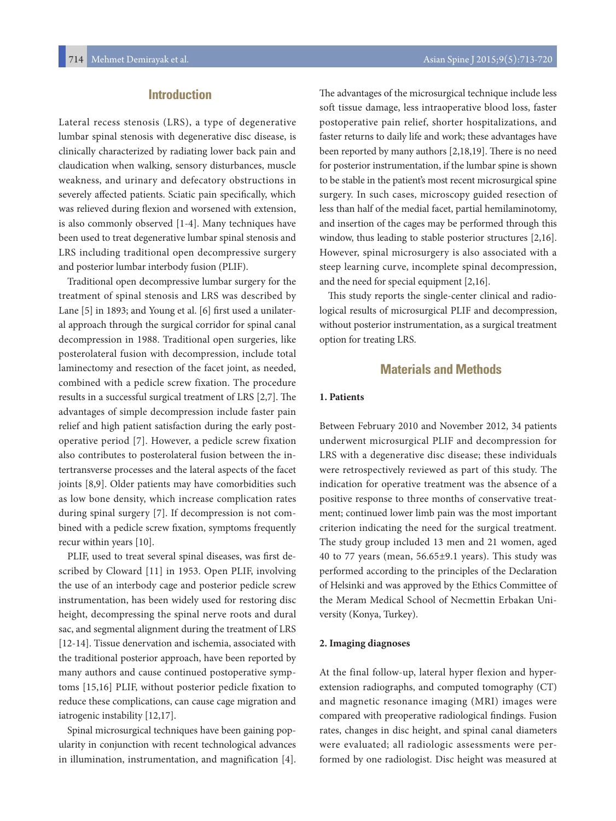# **Introduction**

Lateral recess stenosis (LRS), a type of degenerative lumbar spinal stenosis with degenerative disc disease, is clinically characterized by radiating lower back pain and claudication when walking, sensory disturbances, muscle weakness, and urinary and defecatory obstructions in severely affected patients. Sciatic pain specifically, which was relieved during flexion and worsened with extension, is also commonly observed [1-4]. Many techniques have been used to treat degenerative lumbar spinal stenosis and LRS including traditional open decompressive surgery and posterior lumbar interbody fusion (PLIF).

Traditional open decompressive lumbar surgery for the treatment of spinal stenosis and LRS was described by Lane [5] in 1893; and Young et al. [6] first used a unilateral approach through the surgical corridor for spinal canal decompression in 1988. Traditional open surgeries, like posterolateral fusion with decompression, include total laminectomy and resection of the facet joint, as needed, combined with a pedicle screw fixation. The procedure results in a successful surgical treatment of LRS [2,7]. The advantages of simple decompression include faster pain relief and high patient satisfaction during the early postoperative period [7]. However, a pedicle screw fixation also contributes to posterolateral fusion between the intertransverse processes and the lateral aspects of the facet joints [8,9]. Older patients may have comorbidities such as low bone density, which increase complication rates during spinal surgery [7]. If decompression is not combined with a pedicle screw fixation, symptoms frequently recur within years [10].

PLIF, used to treat several spinal diseases, was first described by Cloward [11] in 1953. Open PLIF, involving the use of an interbody cage and posterior pedicle screw instrumentation, has been widely used for restoring disc height, decompressing the spinal nerve roots and dural sac, and segmental alignment during the treatment of LRS [12-14]. Tissue denervation and ischemia, associated with the traditional posterior approach, have been reported by many authors and cause continued postoperative symptoms [15,16] PLIF, without posterior pedicle fixation to reduce these complications, can cause cage migration and iatrogenic instability [12,17].

Spinal microsurgical techniques have been gaining popularity in conjunction with recent technological advances in illumination, instrumentation, and magnification [4].

The advantages of the microsurgical technique include less soft tissue damage, less intraoperative blood loss, faster postoperative pain relief, shorter hospitalizations, and faster returns to daily life and work; these advantages have been reported by many authors [2,18,19]. There is no need for posterior instrumentation, if the lumbar spine is shown to be stable in the patient's most recent microsurgical spine surgery. In such cases, microscopy guided resection of less than half of the medial facet, partial hemilaminotomy, and insertion of the cages may be performed through this window, thus leading to stable posterior structures [2,16]. However, spinal microsurgery is also associated with a steep learning curve, incomplete spinal decompression, and the need for special equipment [2,16].

This study reports the single-center clinical and radiological results of microsurgical PLIF and decompression, without posterior instrumentation, as a surgical treatment option for treating LRS.

### **Materials and Methods**

#### **1. Patients**

Between February 2010 and November 2012, 34 patients underwent microsurgical PLIF and decompression for LRS with a degenerative disc disease; these individuals were retrospectively reviewed as part of this study. The indication for operative treatment was the absence of a positive response to three months of conservative treatment; continued lower limb pain was the most important criterion indicating the need for the surgical treatment. The study group included 13 men and 21 women, aged 40 to 77 years (mean, 56.65±9.1 years). This study was performed according to the principles of the Declaration of Helsinki and was approved by the Ethics Committee of the Meram Medical School of Necmettin Erbakan University (Konya, Turkey).

#### **2. Imaging diagnoses**

At the final follow-up, lateral hyper flexion and hyperextension radiographs, and computed tomography (CT) and magnetic resonance imaging (MRI) images were compared with preoperative radiological findings. Fusion rates, changes in disc height, and spinal canal diameters were evaluated; all radiologic assessments were performed by one radiologist. Disc height was measured at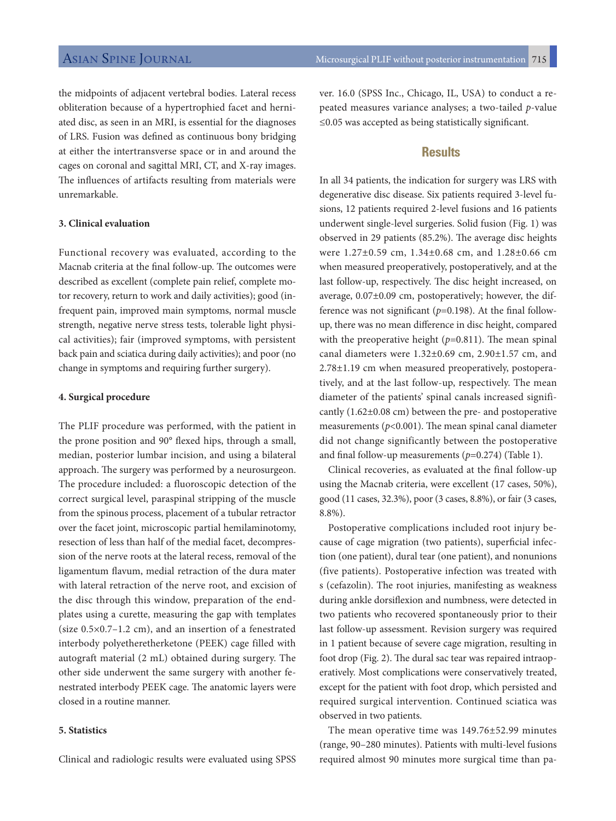the midpoints of adjacent vertebral bodies. Lateral recess obliteration because of a hypertrophied facet and herniated disc, as seen in an MRI, is essential for the diagnoses of LRS. Fusion was defined as continuous bony bridging at either the intertransverse space or in and around the cages on coronal and sagittal MRI, CT, and X-ray images. The influences of artifacts resulting from materials were unremarkable.

#### **3. Clinical evaluation**

Functional recovery was evaluated, according to the Macnab criteria at the final follow-up. The outcomes were described as excellent (complete pain relief, complete motor recovery, return to work and daily activities); good (infrequent pain, improved main symptoms, normal muscle strength, negative nerve stress tests, tolerable light physical activities); fair (improved symptoms, with persistent back pain and sciatica during daily activities); and poor (no change in symptoms and requiring further surgery).

#### **4. Surgical procedure**

The PLIF procedure was performed, with the patient in the prone position and 90° flexed hips, through a small, median, posterior lumbar incision, and using a bilateral approach. The surgery was performed by a neurosurgeon. The procedure included: a fluoroscopic detection of the correct surgical level, paraspinal stripping of the muscle from the spinous process, placement of a tubular retractor over the facet joint, microscopic partial hemilaminotomy, resection of less than half of the medial facet, decompression of the nerve roots at the lateral recess, removal of the ligamentum flavum, medial retraction of the dura mater with lateral retraction of the nerve root, and excision of the disc through this window, preparation of the endplates using a curette, measuring the gap with templates (size 0.5×0.7–1.2 cm), and an insertion of a fenestrated interbody polyetheretherketone (PEEK) cage filled with autograft material (2 mL) obtained during surgery. The other side underwent the same surgery with another fenestrated interbody PEEK cage. The anatomic layers were closed in a routine manner.

#### **5. Statistics**

Clinical and radiologic results were evaluated using SPSS

ver. 16.0 (SPSS Inc., Chicago, IL, USA) to conduct a repeated measures variance analyses; a two-tailed *p*-value ≤0.05 was accepted as being statistically significant.

## **Results**

In all 34 patients, the indication for surgery was LRS with degenerative disc disease. Six patients required 3-level fusions, 12 patients required 2-level fusions and 16 patients underwent single-level surgeries. Solid fusion (Fig. 1) was observed in 29 patients (85.2%). The average disc heights were 1.27±0.59 cm, 1.34±0.68 cm, and 1.28±0.66 cm when measured preoperatively, postoperatively, and at the last follow-up, respectively. The disc height increased, on average, 0.07±0.09 cm, postoperatively; however, the difference was not significant (*p*=0.198). At the final followup, there was no mean difference in disc height, compared with the preoperative height ( $p=0.811$ ). The mean spinal canal diameters were 1.32±0.69 cm, 2.90±1.57 cm, and 2.78±1.19 cm when measured preoperatively, postoperatively, and at the last follow-up, respectively. The mean diameter of the patients' spinal canals increased significantly (1.62±0.08 cm) between the pre- and postoperative measurements (*p*<0.001). The mean spinal canal diameter did not change significantly between the postoperative and final follow-up measurements (*p*=0.274) (Table 1).

Clinical recoveries, as evaluated at the final follow-up using the Macnab criteria, were excellent (17 cases, 50%), good (11 cases, 32.3%), poor (3 cases, 8.8%), or fair (3 cases, 8.8%).

Postoperative complications included root injury because of cage migration (two patients), superficial infection (one patient), dural tear (one patient), and nonunions (five patients). Postoperative infection was treated with s (cefazolin). The root injuries, manifesting as weakness during ankle dorsiflexion and numbness, were detected in two patients who recovered spontaneously prior to their last follow-up assessment. Revision surgery was required in 1 patient because of severe cage migration, resulting in foot drop (Fig. 2). The dural sac tear was repaired intraoperatively. Most complications were conservatively treated, except for the patient with foot drop, which persisted and required surgical intervention. Continued sciatica was observed in two patients.

The mean operative time was 149.76±52.99 minutes (range, 90–280 minutes). Patients with multi-level fusions required almost 90 minutes more surgical time than pa-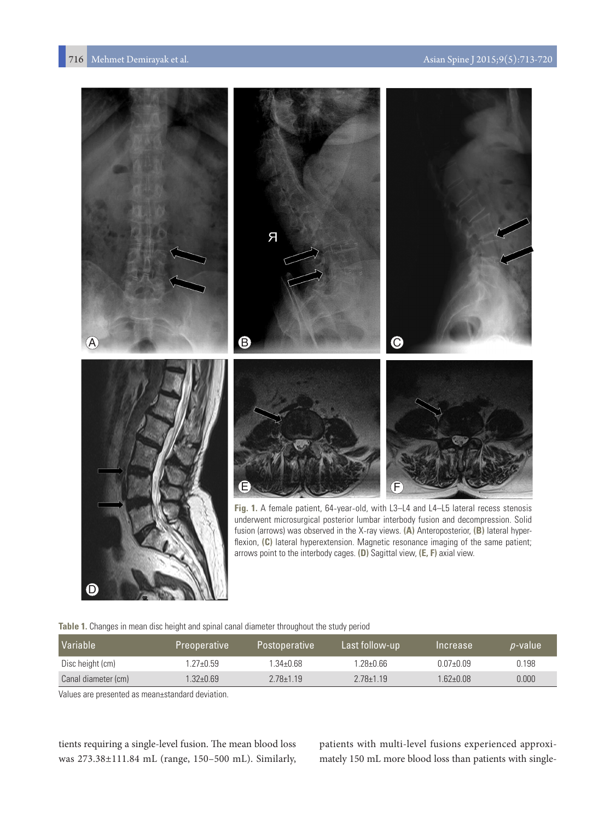

| Table 1. Changes in mean disc height and spinal canal diameter throughout the study period |  |  |
|--------------------------------------------------------------------------------------------|--|--|

| Variable            | Preoperative  | <b>Postoperative</b> | Last follow-up | Increase      | <i>p</i> -value |
|---------------------|---------------|----------------------|----------------|---------------|-----------------|
| Disc height (cm)    | $.27 + 0.59$  | 1.34±0.68            | 1.28±0.66      | $0.07 + 0.09$ | 0.198           |
| Canal diameter (cm) | $1.32 + 0.69$ | $2.78 \pm 1.19$      | $2.78 + 1.19$  | $1.62 + 0.08$ | 0.000           |

Values are presented as mean±standard deviation.

D

tients requiring a single-level fusion. The mean blood loss was 273.38±111.84 mL (range, 150–500 mL). Similarly, patients with multi-level fusions experienced approximately 150 mL more blood loss than patients with single-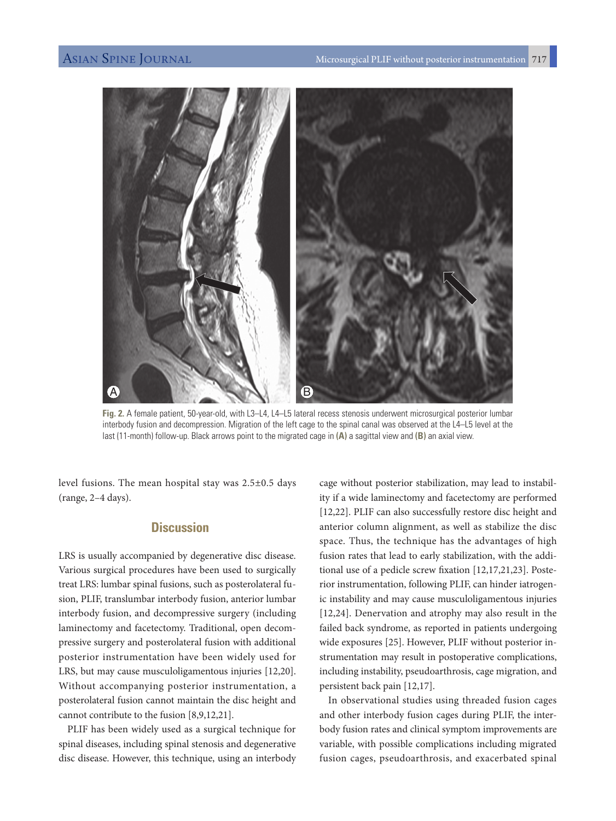

**Fig. 2.** A female patient, 50-year-old, with L3–L4, L4–L5 lateral recess stenosis underwent microsurgical posterior lumbar interbody fusion and decompression. Migration of the left cage to the spinal canal was observed at the L4–L5 level at the last (11-month) follow-up. Black arrows point to the migrated cage in **(A)** a sagittal view and **(B)** an axial view.

level fusions. The mean hospital stay was 2.5±0.5 days (range, 2–4 days).

# **Discussion**

LRS is usually accompanied by degenerative disc disease. Various surgical procedures have been used to surgically treat LRS: lumbar spinal fusions, such as posterolateral fusion, PLIF, translumbar interbody fusion, anterior lumbar interbody fusion, and decompressive surgery (including laminectomy and facetectomy. Traditional, open decompressive surgery and posterolateral fusion with additional posterior instrumentation have been widely used for LRS, but may cause musculoligamentous injuries [12,20]. Without accompanying posterior instrumentation, a posterolateral fusion cannot maintain the disc height and cannot contribute to the fusion [8,9,12,21].

PLIF has been widely used as a surgical technique for spinal diseases, including spinal stenosis and degenerative disc disease. However, this technique, using an interbody

cage without posterior stabilization, may lead to instability if a wide laminectomy and facetectomy are performed [12,22]. PLIF can also successfully restore disc height and anterior column alignment, as well as stabilize the disc space. Thus, the technique has the advantages of high fusion rates that lead to early stabilization, with the additional use of a pedicle screw fixation [12,17,21,23]. Posterior instrumentation, following PLIF, can hinder iatrogenic instability and may cause musculoligamentous injuries [12,24]. Denervation and atrophy may also result in the failed back syndrome, as reported in patients undergoing wide exposures [25]. However, PLIF without posterior instrumentation may result in postoperative complications, including instability, pseudoarthrosis, cage migration, and persistent back pain [12,17].

In observational studies using threaded fusion cages and other interbody fusion cages during PLIF, the interbody fusion rates and clinical symptom improvements are variable, with possible complications including migrated fusion cages, pseudoarthrosis, and exacerbated spinal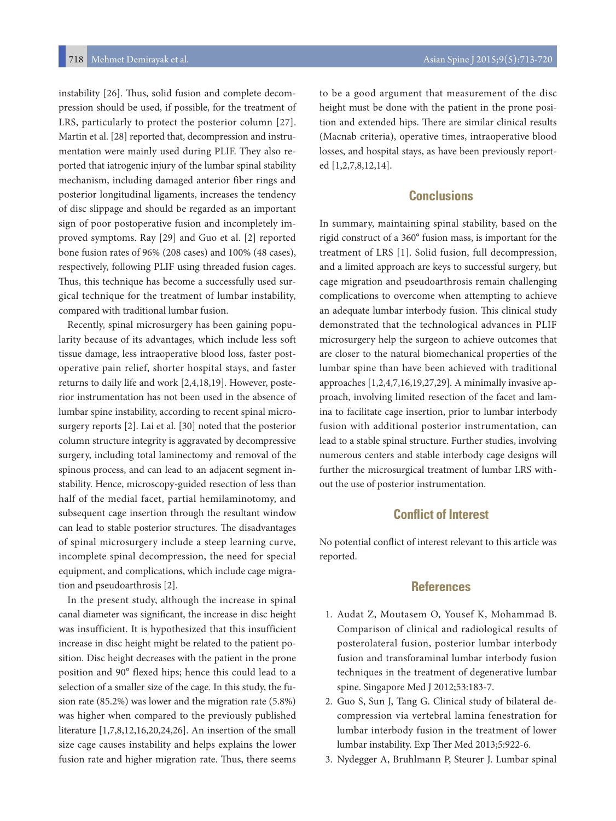instability [26]. Thus, solid fusion and complete decompression should be used, if possible, for the treatment of LRS, particularly to protect the posterior column [27]. Martin et al. [28] reported that, decompression and instrumentation were mainly used during PLIF. They also reported that iatrogenic injury of the lumbar spinal stability mechanism, including damaged anterior fiber rings and posterior longitudinal ligaments, increases the tendency of disc slippage and should be regarded as an important sign of poor postoperative fusion and incompletely improved symptoms. Ray [29] and Guo et al. [2] reported bone fusion rates of 96% (208 cases) and 100% (48 cases), respectively, following PLIF using threaded fusion cages. Thus, this technique has become a successfully used surgical technique for the treatment of lumbar instability, compared with traditional lumbar fusion.

Recently, spinal microsurgery has been gaining popularity because of its advantages, which include less soft tissue damage, less intraoperative blood loss, faster postoperative pain relief, shorter hospital stays, and faster returns to daily life and work [2,4,18,19]. However, posterior instrumentation has not been used in the absence of lumbar spine instability, according to recent spinal microsurgery reports [2]. Lai et al. [30] noted that the posterior column structure integrity is aggravated by decompressive surgery, including total laminectomy and removal of the spinous process, and can lead to an adjacent segment instability. Hence, microscopy-guided resection of less than half of the medial facet, partial hemilaminotomy, and subsequent cage insertion through the resultant window can lead to stable posterior structures. The disadvantages of spinal microsurgery include a steep learning curve, incomplete spinal decompression, the need for special equipment, and complications, which include cage migration and pseudoarthrosis [2].

In the present study, although the increase in spinal canal diameter was significant, the increase in disc height was insufficient. It is hypothesized that this insufficient increase in disc height might be related to the patient position. Disc height decreases with the patient in the prone position and 90° flexed hips; hence this could lead to a selection of a smaller size of the cage. In this study, the fusion rate (85.2%) was lower and the migration rate (5.8%) was higher when compared to the previously published literature [1,7,8,12,16,20,24,26]. An insertion of the small size cage causes instability and helps explains the lower fusion rate and higher migration rate. Thus, there seems

to be a good argument that measurement of the disc height must be done with the patient in the prone position and extended hips. There are similar clinical results (Macnab criteria), operative times, intraoperative blood losses, and hospital stays, as have been previously reported [1,2,7,8,12,14].

# **Conclusions**

In summary, maintaining spinal stability, based on the rigid construct of a 360° fusion mass, is important for the treatment of LRS [1]. Solid fusion, full decompression, and a limited approach are keys to successful surgery, but cage migration and pseudoarthrosis remain challenging complications to overcome when attempting to achieve an adequate lumbar interbody fusion. This clinical study demonstrated that the technological advances in PLIF microsurgery help the surgeon to achieve outcomes that are closer to the natural biomechanical properties of the lumbar spine than have been achieved with traditional approaches [1,2,4,7,16,19,27,29]. A minimally invasive approach, involving limited resection of the facet and lamina to facilitate cage insertion, prior to lumbar interbody fusion with additional posterior instrumentation, can lead to a stable spinal structure. Further studies, involving numerous centers and stable interbody cage designs will further the microsurgical treatment of lumbar LRS without the use of posterior instrumentation.

# **Conflict of Interest**

No potential conflict of interest relevant to this article was reported.

#### **References**

- 1. Audat Z, Moutasem O, Yousef K, Mohammad B. Comparison of clinical and radiological results of posterolateral fusion, posterior lumbar interbody fusion and transforaminal lumbar interbody fusion techniques in the treatment of degenerative lumbar spine. Singapore Med J 2012;53:183-7.
- 2. Guo S, Sun J, Tang G. Clinical study of bilateral decompression via vertebral lamina fenestration for lumbar interbody fusion in the treatment of lower lumbar instability. Exp Ther Med 2013;5:922-6.
- 3. Nydegger A, Bruhlmann P, Steurer J. Lumbar spinal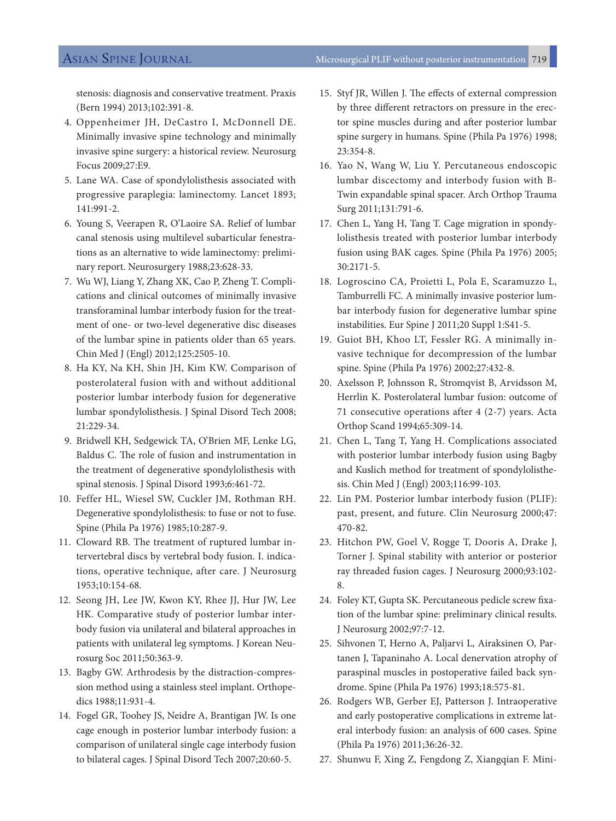stenosis: diagnosis and conservative treatment. Praxis (Bern 1994) 2013;102:391-8.

- 4. Oppenheimer JH, DeCastro I, McDonnell DE. Minimally invasive spine technology and minimally invasive spine surgery: a historical review. Neurosurg Focus 2009;27:E9.
- 5. Lane WA. Case of spondylolisthesis associated with progressive paraplegia: laminectomy. Lancet 1893; 141:991-2.
- 6. Young S, Veerapen R, O'Laoire SA. Relief of lumbar canal stenosis using multilevel subarticular fenestrations as an alternative to wide laminectomy: preliminary report. Neurosurgery 1988;23:628-33.
- 7. Wu WJ, Liang Y, Zhang XK, Cao P, Zheng T. Complications and clinical outcomes of minimally invasive transforaminal lumbar interbody fusion for the treatment of one- or two-level degenerative disc diseases of the lumbar spine in patients older than 65 years. Chin Med J (Engl) 2012;125:2505-10.
- 8. Ha KY, Na KH, Shin JH, Kim KW. Comparison of posterolateral fusion with and without additional posterior lumbar interbody fusion for degenerative lumbar spondylolisthesis. J Spinal Disord Tech 2008; 21:229-34.
- 9. Bridwell KH, Sedgewick TA, O'Brien MF, Lenke LG, Baldus C. The role of fusion and instrumentation in the treatment of degenerative spondylolisthesis with spinal stenosis. J Spinal Disord 1993;6:461-72.
- 10. Feffer HL, Wiesel SW, Cuckler JM, Rothman RH. Degenerative spondylolisthesis: to fuse or not to fuse. Spine (Phila Pa 1976) 1985;10:287-9.
- 11. Cloward RB. The treatment of ruptured lumbar intervertebral discs by vertebral body fusion. I. indications, operative technique, after care. J Neurosurg 1953;10:154-68.
- 12. Seong JH, Lee JW, Kwon KY, Rhee JJ, Hur JW, Lee HK. Comparative study of posterior lumbar interbody fusion via unilateral and bilateral approaches in patients with unilateral leg symptoms. J Korean Neurosurg Soc 2011;50:363-9.
- 13. Bagby GW. Arthrodesis by the distraction-compression method using a stainless steel implant. Orthopedics 1988;11:931-4.
- 14. Fogel GR, Toohey JS, Neidre A, Brantigan JW. Is one cage enough in posterior lumbar interbody fusion: a comparison of unilateral single cage interbody fusion to bilateral cages. J Spinal Disord Tech 2007;20:60-5.
- 15. Styf JR, Willen J. The effects of external compression by three different retractors on pressure in the erector spine muscles during and after posterior lumbar spine surgery in humans. Spine (Phila Pa 1976) 1998; 23:354-8.
- 16. Yao N, Wang W, Liu Y. Percutaneous endoscopic lumbar discectomy and interbody fusion with B-Twin expandable spinal spacer. Arch Orthop Trauma Surg 2011;131:791-6.
- 17. Chen L, Yang H, Tang T. Cage migration in spondylolisthesis treated with posterior lumbar interbody fusion using BAK cages. Spine (Phila Pa 1976) 2005; 30:2171-5.
- 18. Logroscino CA, Proietti L, Pola E, Scaramuzzo L, Tamburrelli FC. A minimally invasive posterior lumbar interbody fusion for degenerative lumbar spine instabilities. Eur Spine J 2011;20 Suppl 1:S41-5.
- 19. Guiot BH, Khoo LT, Fessler RG. A minimally invasive technique for decompression of the lumbar spine. Spine (Phila Pa 1976) 2002;27:432-8.
- 20. Axelsson P, Johnsson R, Stromqvist B, Arvidsson M, Herrlin K. Posterolateral lumbar fusion: outcome of 71 consecutive operations after 4 (2-7) years. Acta Orthop Scand 1994;65:309-14.
- 21. Chen L, Tang T, Yang H. Complications associated with posterior lumbar interbody fusion using Bagby and Kuslich method for treatment of spondylolisthesis. Chin Med J (Engl) 2003;116:99-103.
- 22. Lin PM. Posterior lumbar interbody fusion (PLIF): past, present, and future. Clin Neurosurg 2000;47: 470-82.
- 23. Hitchon PW, Goel V, Rogge T, Dooris A, Drake J, Torner J. Spinal stability with anterior or posterior ray threaded fusion cages. J Neurosurg 2000;93:102- 8.
- 24. Foley KT, Gupta SK. Percutaneous pedicle screw fixation of the lumbar spine: preliminary clinical results. J Neurosurg 2002;97:7-12.
- 25. Sihvonen T, Herno A, Paljarvi L, Airaksinen O, Partanen J, Tapaninaho A. Local denervation atrophy of paraspinal muscles in postoperative failed back syndrome. Spine (Phila Pa 1976) 1993;18:575-81.
- 26. Rodgers WB, Gerber EJ, Patterson J. Intraoperative and early postoperative complications in extreme lateral interbody fusion: an analysis of 600 cases. Spine (Phila Pa 1976) 2011;36:26-32.
- 27. Shunwu F, Xing Z, Fengdong Z, Xiangqian F. Mini-